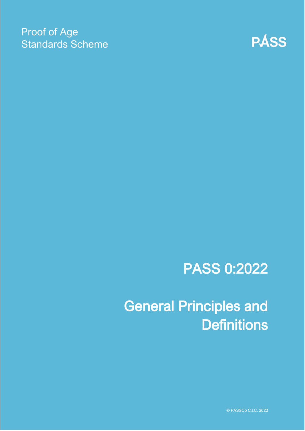# Proof of Age Standards Scheme



# PASS 0:2022

General Principles and **Definitions** 

© PASSCo C.I.C. 2022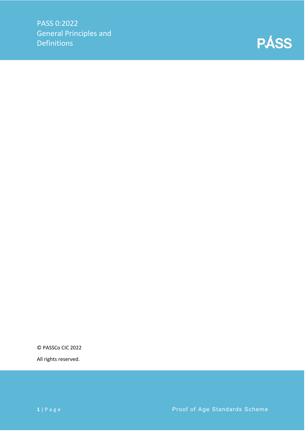

© PASSCo CIC 2022

All rights reserved.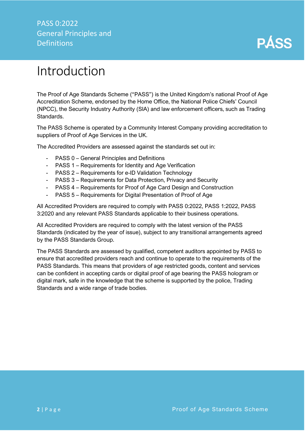

# <span id="page-2-0"></span>Introduction

The Proof of Age Standards Scheme ("PASS") is the United Kingdom's national Proof of Age Accreditation Scheme, endorsed by the Home Office, the National Police Chiefs' Council (NPCC), the Security Industry Authority (SIA) and law enforcement officers, such as Trading Standards.

The PASS Scheme is operated by a Community Interest Company providing accreditation to suppliers of Proof of Age Services in the UK.

The Accredited Providers are assessed against the standards set out in:

- PASS 0 General Principles and Definitions
- PASS 1 Requirements for Identity and Age Verification
- PASS 2 Requirements for e-ID Validation Technology
- PASS 3 Requirements for Data Protection, Privacy and Security
- PASS 4 Requirements for Proof of Age Card Design and Construction
- PASS 5 Requirements for Digital Presentation of Proof of Age

All Accredited Providers are required to comply with PASS 0:2022, PASS 1:2022, PASS 3:2020 and any relevant PASS Standards applicable to their business operations.

All Accredited Providers are required to comply with the latest version of the PASS Standards (indicated by the year of issue), subject to any transitional arrangements agreed by the PASS Standards Group.

The PASS Standards are assessed by qualified, competent auditors appointed by PASS to ensure that accredited providers reach and continue to operate to the requirements of the PASS Standards. This means that providers of age restricted goods, content and services can be confident in accepting cards or digital proof of age bearing the PASS hologram or digital mark, safe in the knowledge that the scheme is supported by the police, Trading Standards and a wide range of trade bodies.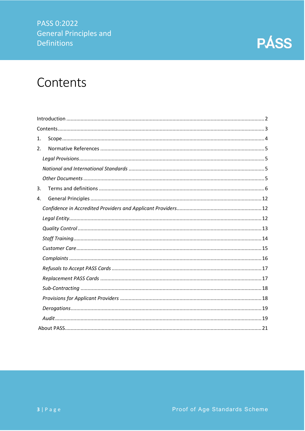

# <span id="page-3-0"></span>Contents

| 1. |  |
|----|--|
| 2. |  |
|    |  |
|    |  |
|    |  |
| 3. |  |
| 4. |  |
|    |  |
|    |  |
|    |  |
|    |  |
|    |  |
|    |  |
|    |  |
|    |  |
|    |  |
|    |  |
|    |  |
|    |  |
|    |  |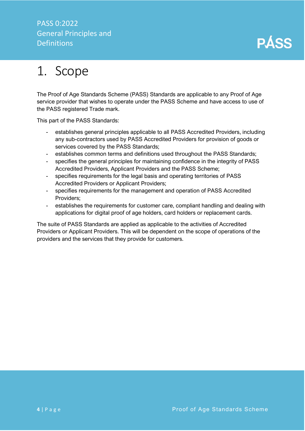

# <span id="page-4-0"></span>1. Scope

The Proof of Age Standards Scheme (PASS) Standards are applicable to any Proof of Age service provider that wishes to operate under the PASS Scheme and have access to use of the PASS registered Trade mark.

This part of the PASS Standards:

- establishes general principles applicable to all PASS Accredited Providers, including any sub-contractors used by PASS Accredited Providers for provision of goods or services covered by the PASS Standards;
- establishes common terms and definitions used throughout the PASS Standards;
- specifies the general principles for maintaining confidence in the integrity of PASS Accredited Providers, Applicant Providers and the PASS Scheme;
- specifies requirements for the legal basis and operating territories of PASS Accredited Providers or Applicant Providers;
- specifies requirements for the management and operation of PASS Accredited Providers;
- establishes the requirements for customer care, compliant handling and dealing with applications for digital proof of age holders, card holders or replacement cards.

The suite of PASS Standards are applied as applicable to the activities of Accredited Providers or Applicant Providers. This will be dependent on the scope of operations of the providers and the services that they provide for customers.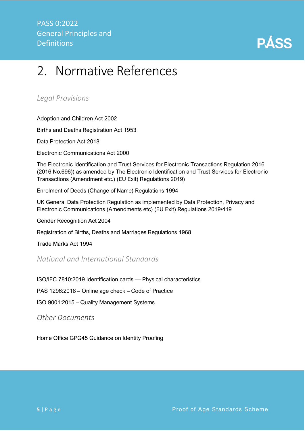

# <span id="page-5-0"></span>2. Normative References

<span id="page-5-1"></span>*Legal Provisions*

Adoption and Children Act 2002

Births and Deaths Registration Act 1953

Data Protection Act 2018

Electronic Communications Act 2000

The Electronic Identification and Trust Services for Electronic Transactions Regulation 2016 (2016 No.696)) as amended by The Electronic Identification and Trust Services for Electronic Transactions (Amendment etc.) (EU Exit) Regulations 2019)

Enrolment of Deeds (Change of Name) Regulations 1994

UK General Data Protection Regulation as implemented by Data Protection, Privacy and Electronic Communications (Amendments etc) (EU Exit) Regulations 2019/419

Gender Recognition Act 2004

Registration of Births, Deaths and Marriages Regulations 1968

Trade Marks Act 1994

## <span id="page-5-2"></span>*National and International Standards*

ISO/IEC 7810:2019 Identification cards — Physical characteristics

PAS 1296:2018 – Online age check – Code of Practice

ISO 9001:2015 – Quality Management Systems

<span id="page-5-3"></span>*Other Documents*

Home Office GPG45 Guidance on Identity Proofing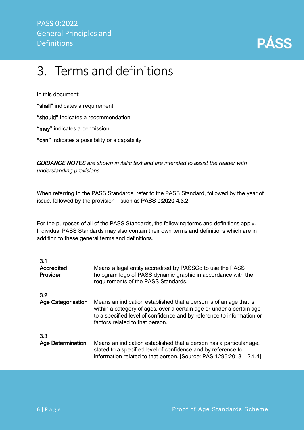

# <span id="page-6-0"></span>3. Terms and definitions

In this document:

"shall" indicates a requirement

"should" indicates a recommendation

"may" indicates a permission

"can" indicates a possibility or a capability

*GUIDANCE NOTES are shown in italic text and are intended to assist the reader with understanding provisions.*

When referring to the PASS Standards, refer to the PASS Standard, followed by the year of issue, followed by the provision – such as PASS 0:2020 4.3.2.

For the purposes of all of the PASS Standards, the following terms and definitions apply. Individual PASS Standards may also contain their own terms and definitions which are in addition to these general terms and definitions.

| 3.1<br>Accredited<br>Provider | Means a legal entity accredited by PASSCo to use the PASS<br>hologram logo of PASS dynamic graphic in accordance with the<br>requirements of the PASS Standards.                                                                                       |
|-------------------------------|--------------------------------------------------------------------------------------------------------------------------------------------------------------------------------------------------------------------------------------------------------|
| 3.2                           |                                                                                                                                                                                                                                                        |
| <b>Age Categorisation</b>     | Means an indication established that a person is of an age that is<br>within a category of ages, over a certain age or under a certain age<br>to a specified level of confidence and by reference to information or<br>factors related to that person. |
| 3.3                           |                                                                                                                                                                                                                                                        |
| <b>Age Determination</b>      | Means an indication established that a person has a particular age,<br>stated to a specified level of confidence and by reference to<br>information related to that person. [Source: PAS 1296:2018 – 2.1.4]                                            |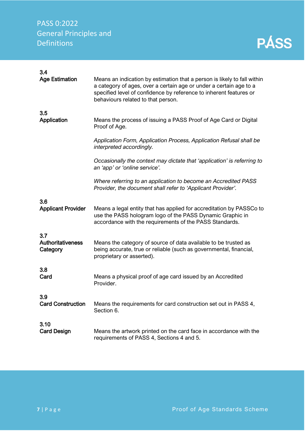| 3.4<br><b>Age Estimation</b>     | Means an indication by estimation that a person is likely to fall within<br>a category of ages, over a certain age or under a certain age to a<br>specified level of confidence by reference to inherent features or<br>behaviours related to that person. |
|----------------------------------|------------------------------------------------------------------------------------------------------------------------------------------------------------------------------------------------------------------------------------------------------------|
| 3.5                              | Means the process of issuing a PASS Proof of Age Card or Digital                                                                                                                                                                                           |
| Application                      | Proof of Age.                                                                                                                                                                                                                                              |
|                                  | Application Form, Application Process, Application Refusal shall be<br>interpreted accordingly.                                                                                                                                                            |
|                                  | Occasionally the context may dictate that 'application' is referring to<br>an 'app' or 'online service'.                                                                                                                                                   |
|                                  | Where referring to an application to become an Accredited PASS<br>Provider, the document shall refer to 'Applicant Provider'.                                                                                                                              |
| 3.6<br><b>Applicant Provider</b> | Means a legal entity that has applied for accreditation by PASSCo to<br>use the PASS hologram logo of the PASS Dynamic Graphic in<br>accordance with the requirements of the PASS Standards.                                                               |
| 3.7                              | Means the category of source of data available to be trusted as                                                                                                                                                                                            |
| <b>Authoritativeness</b>         | being accurate, true or reliable (such as governmental, financial,                                                                                                                                                                                         |
| Category                         | proprietary or asserted).                                                                                                                                                                                                                                  |
| 3.8                              | Means a physical proof of age card issued by an Accredited                                                                                                                                                                                                 |
| Card                             | Provider.                                                                                                                                                                                                                                                  |
| 3.9                              | Means the requirements for card construction set out in PASS 4,                                                                                                                                                                                            |
| <b>Card Construction</b>         | Section 6.                                                                                                                                                                                                                                                 |
| 3.10                             | Means the artwork printed on the card face in accordance with the                                                                                                                                                                                          |
| <b>Card Design</b>               | requirements of PASS 4, Sections 4 and 5.                                                                                                                                                                                                                  |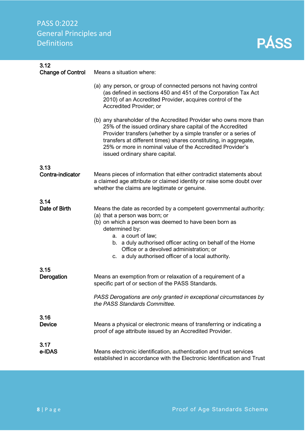3.12

| <b>Change of Control</b> | Means a situation where:                                                                                                                                                                                                                                                                                                                                              |
|--------------------------|-----------------------------------------------------------------------------------------------------------------------------------------------------------------------------------------------------------------------------------------------------------------------------------------------------------------------------------------------------------------------|
|                          | (a) any person, or group of connected persons not having control<br>(as defined in sections 450 and 451 of the Corporation Tax Act<br>2010) of an Accredited Provider, acquires control of the<br>Accredited Provider; or                                                                                                                                             |
|                          | (b) any shareholder of the Accredited Provider who owns more than<br>25% of the issued ordinary share capital of the Accredited<br>Provider transfers (whether by a simple transfer or a series of<br>transfers at different times) shares constituting, in aggregate,<br>25% or more in nominal value of the Accredited Provider's<br>issued ordinary share capital. |
| 3.13                     |                                                                                                                                                                                                                                                                                                                                                                       |
| Contra-indicator         | Means pieces of information that either contradict statements about<br>a claimed age attribute or claimed identity or raise some doubt over<br>whether the claims are legitimate or genuine.                                                                                                                                                                          |
| 3.14                     |                                                                                                                                                                                                                                                                                                                                                                       |
| Date of Birth            | Means the date as recorded by a competent governmental authority:<br>(a) that a person was born; or<br>(b) on which a person was deemed to have been born as<br>determined by:<br>a. a court of law;<br>b. a duly authorised officer acting on behalf of the Home<br>Office or a devolved administration; or<br>c. a duly authorised officer of a local authority.    |
| 3.15                     |                                                                                                                                                                                                                                                                                                                                                                       |
| Derogation               | Means an exemption from or relaxation of a requirement of a<br>specific part of or section of the PASS Standards.                                                                                                                                                                                                                                                     |
|                          | PASS Derogations are only granted in exceptional circumstances by<br>the PASS Standards Committee.                                                                                                                                                                                                                                                                    |
| 3.16<br><b>Device</b>    | Means a physical or electronic means of transferring or indicating a<br>proof of age attribute issued by an Accredited Provider.                                                                                                                                                                                                                                      |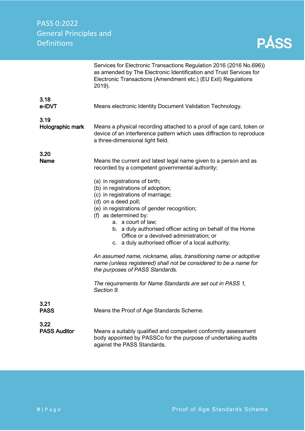|                             | Services for Electronic Transactions Regulation 2016 (2016 No.696))<br>as amended by The Electronic Identification and Trust Services for<br>Electronic Transactions (Amendment etc.) (EU Exit) Regulations<br>2019).                                                                                                                                                                       |
|-----------------------------|---------------------------------------------------------------------------------------------------------------------------------------------------------------------------------------------------------------------------------------------------------------------------------------------------------------------------------------------------------------------------------------------|
| 3.18<br>e-IDVT              | Means electronic Identity Document Validation Technology.                                                                                                                                                                                                                                                                                                                                   |
| 3.19<br>Holographic mark    | Means a physical recording attached to a proof of age card, token or<br>device of an interference pattern which uses diffraction to reproduce<br>a three-dimensional light field.                                                                                                                                                                                                           |
| 3.20<br>Name                | Means the current and latest legal name given to a person and as<br>recorded by a competent governmental authority:                                                                                                                                                                                                                                                                         |
|                             | (a) in registrations of birth;<br>(b) in registrations of adoption;<br>(c) in registrations of marriage;<br>(d) on a deed poll;<br>(e) in registrations of gender recognition;<br>(f) as determined by:<br>a. a court of law;<br>b. a duly authorised officer acting on behalf of the Home<br>Office or a devolved administration; or<br>c. a duly authorised officer of a local authority. |
|                             | An assumed name, nickname, alias, transitioning name or adoptive<br>name (unless registered) shall not be considered to be a name for<br>the purposes of PASS Standards.                                                                                                                                                                                                                    |
|                             | The requirements for Name Standards are set out in PASS 1,<br>Section 9.                                                                                                                                                                                                                                                                                                                    |
| 3.21<br><b>PASS</b>         | Means the Proof of Age Standards Scheme.                                                                                                                                                                                                                                                                                                                                                    |
| 3.22<br><b>PASS Auditor</b> | Means a suitably qualified and competent conformity assessment<br>body appointed by PASSCo for the purpose of undertaking audits<br>against the PASS Standards.                                                                                                                                                                                                                             |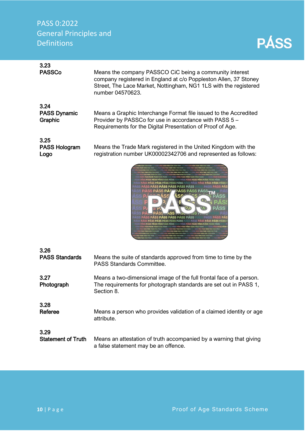| 3.23<br><b>PASSCo</b>          | Means the company PASSCO CiC being a community interest<br>company registered in England at c/o Poppleston Allen, 37 Stoney<br>Street, The Lace Market, Nottingham, NG1 1LS with the registered<br>number 04570623. |
|--------------------------------|---------------------------------------------------------------------------------------------------------------------------------------------------------------------------------------------------------------------|
| 3.24                           |                                                                                                                                                                                                                     |
| <b>PASS Dynamic</b><br>Graphic | Means a Graphic Interchange Format file issued to the Accredited<br>Provider by PASSCo for use in accordance with PASS 5 -<br>Requirements for the Digital Presentation of Proof of Age.                            |
| 3.25                           |                                                                                                                                                                                                                     |
| <b>PASS Hologram</b><br>Logo   | Means the Trade Mark registered in the United Kingdom with the<br>registration number UK00002342706 and represented as follows:                                                                                     |
|                                | aion pian pian paion ning ning ning ning pain pains pian pian ning na<br>PÁSS PÁSS PÁSS PÁSS PÁSS PÁSS<br>ASS PASS PA<br>-PÁSS PÁSS PÁSS                                                                            |

| 3.26                      | Means the suite of standards approved from time to time by the                                                                                        |
|---------------------------|-------------------------------------------------------------------------------------------------------------------------------------------------------|
| <b>PASS Standards</b>     | <b>PASS Standards Committee.</b>                                                                                                                      |
| 3.27<br>Photograph        | Means a two-dimensional image of the full frontal face of a person.<br>The requirements for photograph standards are set out in PASS 1,<br>Section 8. |
| 3.28                      | Means a person who provides validation of a claimed identity or age                                                                                   |
| Referee                   | attribute.                                                                                                                                            |
| 3.29                      | Means an attestation of truth accompanied by a warning that giving                                                                                    |
| <b>Statement of Truth</b> | a false statement may be an offence.                                                                                                                  |

VA.

 $\overline{D}$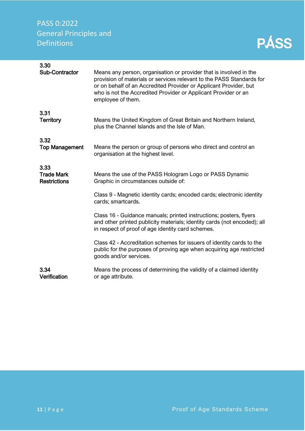| 3.30<br><b>Sub-Contractor</b>                    | Means any person, organisation or provider that is involved in the<br>provision of materials or services relevant to the PASS Standards for<br>or on behalf of an Accredited Provider or Applicant Provider, but<br>who is not the Accredited Provider or Applicant Provider or an<br>employee of them. |
|--------------------------------------------------|---------------------------------------------------------------------------------------------------------------------------------------------------------------------------------------------------------------------------------------------------------------------------------------------------------|
| 3.31<br><b>Territory</b>                         | Means the United Kingdom of Great Britain and Northern Ireland,<br>plus the Channel Islands and the Isle of Man.                                                                                                                                                                                        |
| 3.32<br><b>Top Management</b>                    | Means the person or group of persons who direct and control an<br>organisation at the highest level.                                                                                                                                                                                                    |
| 3.33<br><b>Trade Mark</b><br><b>Restrictions</b> | Means the use of the PASS Hologram Logo or PASS Dynamic<br>Graphic in circumstances outside of:                                                                                                                                                                                                         |
|                                                  | Class 9 - Magnetic identity cards; encoded cards; electronic identity<br>cards; smartcards.                                                                                                                                                                                                             |
|                                                  | Class 16 - Guidance manuals; printed instructions; posters, flyers<br>and other printed publicity materials; identity cards (not encoded); all<br>in respect of proof of age identity card schemes.                                                                                                     |
|                                                  | Class 42 - Accreditation schemes for issuers of identity cards to the<br>public for the purposes of proving age when acquiring age restricted<br>goods and/or services.                                                                                                                                 |
| 3.34<br>Verification                             | Means the process of determining the validity of a claimed identity<br>or age attribute.                                                                                                                                                                                                                |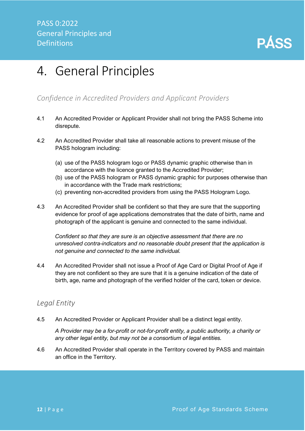

# <span id="page-12-0"></span>4. General Principles

## <span id="page-12-1"></span>*Confidence in Accredited Providers and Applicant Providers*

- 4.1 An Accredited Provider or Applicant Provider shall not bring the PASS Scheme into disrepute.
- 4.2 An Accredited Provider shall take all reasonable actions to prevent misuse of the PASS hologram including:
	- (a) use of the PASS hologram logo or PASS dynamic graphic otherwise than in accordance with the licence granted to the Accredited Provider;
	- (b) use of the PASS hologram or PASS dynamic graphic for purposes otherwise than in accordance with the Trade mark restrictions;
	- (c) preventing non-accredited providers from using the PASS Hologram Logo.
- 4.3 An Accredited Provider shall be confident so that they are sure that the supporting evidence for proof of age applications demonstrates that the date of birth, name and photograph of the applicant is genuine and connected to the same individual.

*Confident so that they are sure is an objective assessment that there are no unresolved contra-indicators and no reasonable doubt present that the application is not genuine and connected to the same individual.*

4.4 An Accredited Provider shall not issue a Proof of Age Card or Digital Proof of Age if they are not confident so they are sure that it is a genuine indication of the date of birth, age, name and photograph of the verified holder of the card, token or device.

### <span id="page-12-2"></span>*Legal Entity*

4.5 An Accredited Provider or Applicant Provider shall be a distinct legal entity.

*A Provider may be a for-profit or not-for-profit entity, a public authority, a charity or any other legal entity, but may not be a consortium of legal entities.*

4.6 An Accredited Provider shall operate in the Territory covered by PASS and maintain an office in the Territory.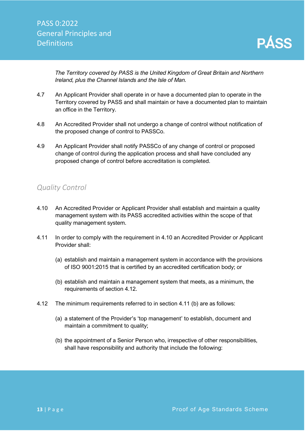*The Territory covered by PASS is the United Kingdom of Great Britain and Northern Ireland, plus the Channel Islands and the Isle of Man.* 

- 4.7 An Applicant Provider shall operate in or have a documented plan to operate in the Territory covered by PASS and shall maintain or have a documented plan to maintain an office in the Territory.
- 4.8 An Accredited Provider shall not undergo a change of control without notification of the proposed change of control to PASSCo.
- 4.9 An Applicant Provider shall notify PASSCo of any change of control or proposed change of control during the application process and shall have concluded any proposed change of control before accreditation is completed.

## <span id="page-13-0"></span>*Quality Control*

- 4.10 An Accredited Provider or Applicant Provider shall establish and maintain a quality management system with its PASS accredited activities within the scope of that quality management system.
- 4.11 In order to comply with the requirement in 4.10 an Accredited Provider or Applicant Provider shall:
	- (a) establish and maintain a management system in accordance with the provisions of ISO 9001:2015 that is certified by an accredited certification body; or
	- (b) establish and maintain a management system that meets, as a minimum, the requirements of section 4.12.
- 4.12 The minimum requirements referred to in section 4.11 (b) are as follows:
	- (a) a statement of the Provider's 'top management' to establish, document and maintain a commitment to quality;
	- (b) the appointment of a Senior Person who, irrespective of other responsibilities, shall have responsibility and authority that include the following: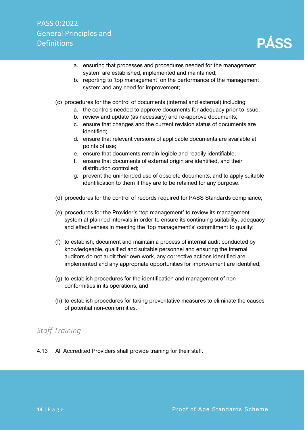- a. ensuring that processes and procedures needed for the management system are established, implemented and maintained;
- b. reporting to 'top management' on the performance of the management system and any need for improvement;
- (c) procedures for the control of documents (internal and external) including:
	- a. the controls needed to approve documents for adequacy prior to issue;
	- b. review and update (as necessary) and re-approve documents;
	- c. ensure that changes and the current revision status of documents are identified;
	- d. ensure that relevant versions of applicable documents are available at points of use;
	- e. ensure that documents remain legible and readily identifiable;
	- f. ensure that documents of external origin are identified, and their distribution controlled;
	- g. prevent the unintended use of obsolete documents, and to apply suitable identification to them if they are to be retained for any purpose.
- (d) procedures for the control of records required for PASS Standards compliance;
- (e) procedures for the Provider's 'top management' to review its management system at planned intervals in order to ensure its continuing suitability, adequacy and effectiveness in meeting the 'top management's' commitment to quality;
- (f) to establish, document and maintain a process of internal audit conducted by knowledgeable, qualified and suitable personnel and ensuring the internal auditors do not audit their own work, any corrective actions identified are implemented and any appropriate opportunities for improvement are identified;
- (g) to establish procedures for the identification and management of nonconformities in its operations; and
- (h) to establish procedures for taking preventative measures to eliminate the causes of potential non-conformities.

## <span id="page-14-0"></span>*Staff Training*

4.13 All Accredited Providers shall provide training for their staff.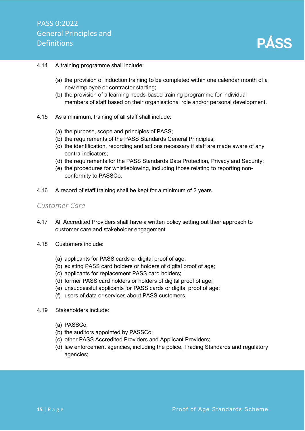

#### 4.14 A training programme shall include:

- (a) the provision of induction training to be completed within one calendar month of a new employee or contractor starting;
- (b) the provision of a learning needs-based training programme for individual members of staff based on their organisational role and/or personal development.
- 4.15 As a minimum, training of all staff shall include:
	- (a) the purpose, scope and principles of PASS;
	- (b) the requirements of the PASS Standards General Principles;
	- (c) the identification, recording and actions necessary if staff are made aware of any contra-indicators;
	- (d) the requirements for the PASS Standards Data Protection, Privacy and Security;
	- (e) the procedures for whistleblowing, including those relating to reporting nonconformity to PASSCo.
- 4.16 A record of staff training shall be kept for a minimum of 2 years.

#### <span id="page-15-0"></span>*Customer Care*

- 4.17 All Accredited Providers shall have a written policy setting out their approach to customer care and stakeholder engagement.
- 4.18 Customers include:
	- (a) applicants for PASS cards or digital proof of age;
	- (b) existing PASS card holders or holders of digital proof of age;
	- (c) applicants for replacement PASS card holders;
	- (d) former PASS card holders or holders of digital proof of age;
	- (e) unsuccessful applicants for PASS cards or digital proof of age;
	- (f) users of data or services about PASS customers.
- 4.19 Stakeholders include:
	- (a) PASSCo;
	- (b) the auditors appointed by PASSCo;
	- (c) other PASS Accredited Providers and Applicant Providers;
	- (d) law enforcement agencies, including the police, Trading Standards and regulatory agencies;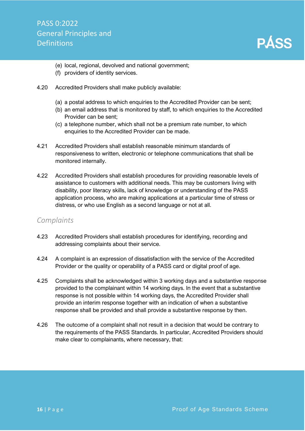- (e) local, regional, devolved and national government;
- (f) providers of identity services.
- 4.20 Accredited Providers shall make publicly available:
	- (a) a postal address to which enquiries to the Accredited Provider can be sent;
	- (b) an email address that is monitored by staff, to which enquiries to the Accredited Provider can be sent;
	- (c) a telephone number, which shall not be a premium rate number, to which enquiries to the Accredited Provider can be made.
- 4.21 Accredited Providers shall establish reasonable minimum standards of responsiveness to written, electronic or telephone communications that shall be monitored internally.
- 4.22 Accredited Providers shall establish procedures for providing reasonable levels of assistance to customers with additional needs. This may be customers living with disability, poor literacy skills, lack of knowledge or understanding of the PASS application process, who are making applications at a particular time of stress or distress, or who use English as a second language or not at all.

#### <span id="page-16-0"></span>*Complaints*

- 4.23 Accredited Providers shall establish procedures for identifying, recording and addressing complaints about their service.
- 4.24 A complaint is an expression of dissatisfaction with the service of the Accredited Provider or the quality or operability of a PASS card or digital proof of age.
- 4.25 Complaints shall be acknowledged within 3 working days and a substantive response provided to the complainant within 14 working days. In the event that a substantive response is not possible within 14 working days, the Accredited Provider shall provide an interim response together with an indication of when a substantive response shall be provided and shall provide a substantive response by then.
- 4.26 The outcome of a complaint shall not result in a decision that would be contrary to the requirements of the PASS Standards. In particular, Accredited Providers should make clear to complainants, where necessary, that: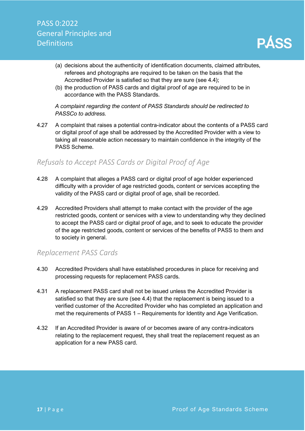- (a) decisions about the authenticity of identification documents, claimed attributes, referees and photographs are required to be taken on the basis that the Accredited Provider is satisfied so that they are sure (see 4.4);
- (b) the production of PASS cards and digital proof of age are required to be in accordance with the PASS Standards.

*A complaint regarding the content of PASS Standards should be redirected to PASSCo to address.*

4.27 A complaint that raises a potential contra-indicator about the contents of a PASS card or digital proof of age shall be addressed by the Accredited Provider with a view to taking all reasonable action necessary to maintain confidence in the integrity of the PASS Scheme.

## <span id="page-17-0"></span>*Refusals to Accept PASS Cards or Digital Proof of Age*

- 4.28 A complaint that alleges a PASS card or digital proof of age holder experienced difficulty with a provider of age restricted goods, content or services accepting the validity of the PASS card or digital proof of age, shall be recorded.
- 4.29 Accredited Providers shall attempt to make contact with the provider of the age restricted goods, content or services with a view to understanding why they declined to accept the PASS card or digital proof of age, and to seek to educate the provider of the age restricted goods, content or services of the benefits of PASS to them and to society in general.

### <span id="page-17-1"></span>*Replacement PASS Cards*

- 4.30 Accredited Providers shall have established procedures in place for receiving and processing requests for replacement PASS cards.
- 4.31 A replacement PASS card shall not be issued unless the Accredited Provider is satisfied so that they are sure (see 4.4) that the replacement is being issued to a verified customer of the Accredited Provider who has completed an application and met the requirements of PASS 1 – Requirements for Identity and Age Verification.
- 4.32 If an Accredited Provider is aware of or becomes aware of any contra-indicators relating to the replacement request, they shall treat the replacement request as an application for a new PASS card.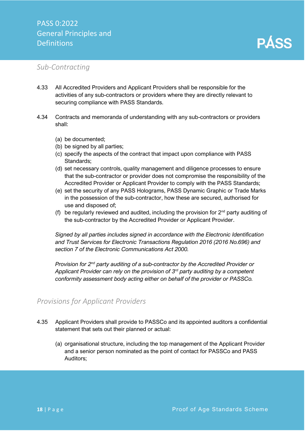#### <span id="page-18-0"></span>*Sub-Contracting*

- 4.33 All Accredited Providers and Applicant Providers shall be responsible for the activities of any sub-contractors or providers where they are directly relevant to securing compliance with PASS Standards.
- 4.34 Contracts and memoranda of understanding with any sub-contractors or providers shall:
	- (a) be documented;
	- (b) be signed by all parties;
	- (c) specify the aspects of the contract that impact upon compliance with PASS Standards;
	- (d) set necessary controls, quality management and diligence processes to ensure that the sub-contractor or provider does not compromise the responsibility of the Accredited Provider or Applicant Provider to comply with the PASS Standards;
	- (e) set the security of any PASS Holograms, PASS Dynamic Graphic or Trade Marks in the possession of the sub-contractor, how these are secured, authorised for use and disposed of;
	- (f) be regularly reviewed and audited, including the provision for  $2<sup>nd</sup>$  party auditing of the sub-contractor by the Accredited Provider or Applicant Provider.

*Signed by all parties includes signed in accordance with the Electronic Identification and Trust Services for Electronic Transactions Regulation 2016 (2016 No.696) and section 7 of the Electronic Communications Act 2000.*

*Provision for 2nd party auditing of a sub-contractor by the Accredited Provider or Applicant Provider can rely on the provision of 3rd party auditing by a competent conformity assessment body acting either on behalf of the provider or PASSCo.*

## <span id="page-18-1"></span>*Provisions for Applicant Providers*

- 4.35 Applicant Providers shall provide to PASSCo and its appointed auditors a confidential statement that sets out their planned or actual:
	- (a) organisational structure, including the top management of the Applicant Provider and a senior person nominated as the point of contact for PASSCo and PASS Auditors;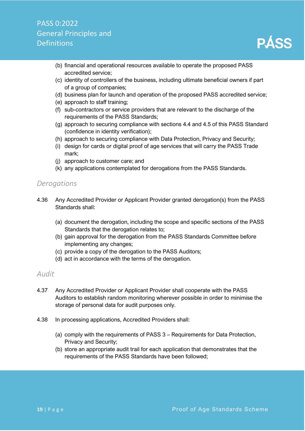- (b) financial and operational resources available to operate the proposed PASS accredited service;
- (c) identity of controllers of the business, including ultimate beneficial owners if part of a group of companies;
- (d) business plan for launch and operation of the proposed PASS accredited service;
- (e) approach to staff training;
- (f) sub-contractors or service providers that are relevant to the discharge of the requirements of the PASS Standards;
- (g) approach to securing compliance with sections 4.4 and 4.5 of this PASS Standard (confidence in identity verification);
- (h) approach to securing compliance with Data Protection, Privacy and Security;
- (i) design for cards or digital proof of age services that will carry the PASS Trade mark;
- (j) approach to customer care; and
- (k) any applications contemplated for derogations from the PASS Standards.

#### <span id="page-19-0"></span>*Derogations*

- 4.36 Any Accredited Provider or Applicant Provider granted derogation(s) from the PASS Standards shall:
	- (a) document the derogation, including the scope and specific sections of the PASS Standards that the derogation relates to;
	- (b) gain approval for the derogation from the PASS Standards Committee before implementing any changes;
	- (c) provide a copy of the derogation to the PASS Auditors;
	- (d) act in accordance with the terms of the derogation.

#### <span id="page-19-1"></span>*Audit*

- 4.37 Any Accredited Provider or Applicant Provider shall cooperate with the PASS Auditors to establish random monitoring wherever possible in order to minimise the storage of personal data for audit purposes only.
- 4.38 In processing applications, Accredited Providers shall:
	- (a) comply with the requirements of PASS 3 Requirements for Data Protection, Privacy and Security;
	- (b) store an appropriate audit trail for each application that demonstrates that the requirements of the PASS Standards have been followed;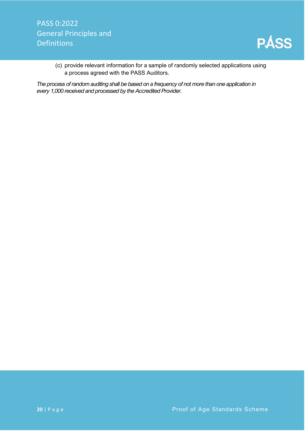

(c) provide relevant information for a sample of randomly selected applications using a process agreed with the PASS Auditors.

<span id="page-20-0"></span>*The process of random auditing shall be based on a frequency of not more than one application in every 1,000 received and processed by the Accredited Provider.*